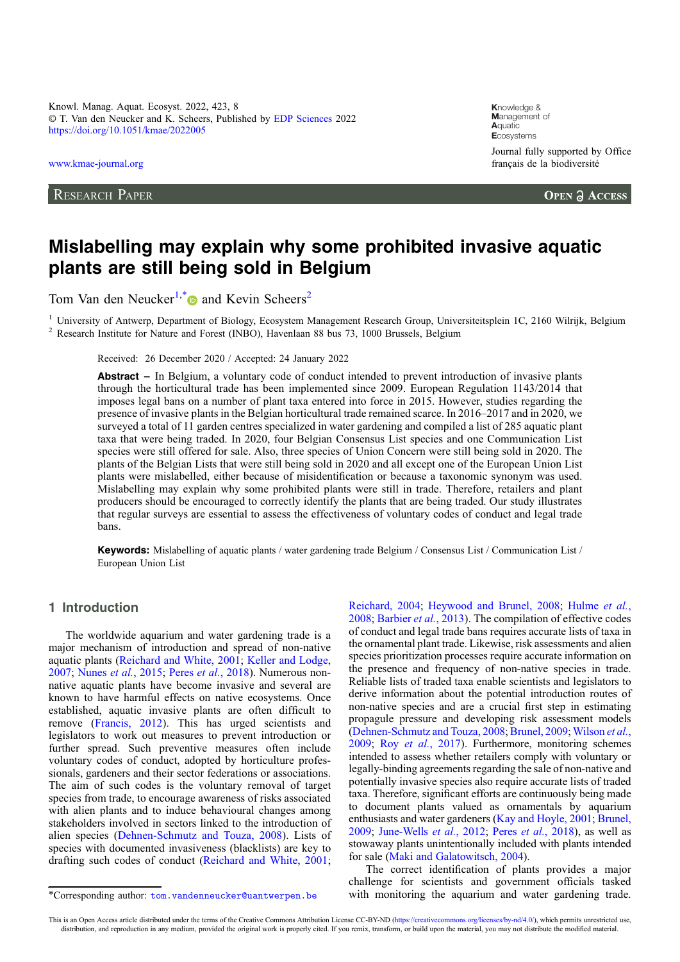Knowl. Manag. Aquat. Ecosyst. 2022, 423, 8 © T. Van den Neucker and K. Scheers, Published by [EDP Sciences](https://www.edpsciences.org) 2022 <https://doi.org/10.1051/kmae/2022005>

[www.kmae-journal.org](https://www.kmae-journal.org)

RESEARCH PAPER

**K**nowledge & **M**anagement of **A**quatic **E**cosystems Journal fully supported by Office français de la biodiversité

**OPEN A ACCESS** 

# Mislabelling may explain why some prohibited invasive aquatic plants are still being sold in Belgium

Tom Van den Neucker<sup>1,\*</sup> and Kevin Scheers<sup>2</sup>

<sup>1</sup> University of Antwerp, Department of Biology, Ecosystem Management Research Group, Universiteitsplein 1C, 2160 Wilrijk, Belgium <sup>2</sup> Research Institute for Nature and Forest (INBO), Havenlaan 88 bus 73, 1000 Brussels, B

Received: 26 December 2020 / Accepted: 24 January 2022

Abstract – In Belgium, a voluntary code of conduct intended to prevent introduction of invasive plants through the horticultural trade has been implemented since 2009. European Regulation 1143/2014 that imposes legal bans on a number of plant taxa entered into force in 2015. However, studies regarding the presence of invasive plants in the Belgian horticultural trade remained scarce. In 2016–2017 and in 2020, we surveyed a total of 11 garden centres specialized in water gardening and compiled a list of 285 aquatic plant taxa that were being traded. In 2020, four Belgian Consensus List species and one Communication List species were still offered for sale. Also, three species of Union Concern were still being sold in 2020. The plants of the Belgian Lists that were still being sold in 2020 and all except one of the European Union List plants were mislabelled, either because of misidentification or because a taxonomic synonym was used. Mislabelling may explain why some prohibited plants were still in trade. Therefore, retailers and plant producers should be encouraged to correctly identify the plants that are being traded. Our study illustrates that regular surveys are essential to assess the effectiveness of voluntary codes of conduct and legal trade bans.

Keywords: Mislabelling of aquatic plants / water gardening trade Belgium / Consensus List / Communication List / European Union List

# 1 Introduction

The worldwide aquarium and water gardening trade is a major mechanism of introduction and spread of non-native aquatic plants [\(Reichard and White, 2001;](#page-9-0) [Keller and Lodge,](#page-8-0) [2007](#page-8-0); [Nunes](#page-9-0) et al., 2015; Peres et al.[, 2018](#page-9-0)). Numerous nonnative aquatic plants have become invasive and several are known to have harmful effects on native ecosystems. Once established, aquatic invasive plants are often difficult to remove [\(Francis, 2012](#page-8-0)). This has urged scientists and legislators to work out measures to prevent introduction or further spread. Such preventive measures often include voluntary codes of conduct, adopted by horticulture professionals, gardeners and their sector federations or associations. The aim of such codes is the voluntary removal of target species from trade, to encourage awareness of risks associated with alien plants and to induce behavioural changes among stakeholders involved in sectors linked to the introduction of alien species [\(Dehnen-Schmutz and Touza, 2008](#page-8-0)). Lists of species with documented invasiveness (blacklists) are key to drafting such codes of conduct [\(Reichard and White, 2001](#page-9-0); [Reichard, 2004](#page-9-0); [Heywood and Brunel, 2008](#page-8-0); [Hulme](#page-8-0) et al., [2008](#page-8-0); [Barbier](#page-7-0) et al., 2013). The compilation of effective codes of conduct and legal trade bans requires accurate lists of taxa in the ornamental plant trade. Likewise, risk assessments and alien species prioritization processes require accurate information on the presence and frequency of non-native species in trade. Reliable lists of traded taxa enable scientists and legislators to derive information about the potential introduction routes of non-native species and are a crucial first step in estimating propagule pressure and developing risk assessment models ([Dehnen-Schmutz and Touza, 2008](#page-8-0); [Brunel, 2009](#page-8-0); [Wilson](#page-9-0) et al., [2009](#page-9-0); Roy et al.[, 2017](#page-9-0)). Furthermore, monitoring schemes intended to assess whether retailers comply with voluntary or legally-binding agreements regarding the sale of non-native and potentially invasive species also require accurate lists of traded taxa. Therefore, significant efforts are continuously being made to document plants valued as ornamentals by aquarium enthusiasts and water gardeners ([Kay and Hoyle, 2001;](#page-8-0) [Brunel,](#page-8-0) [2009](#page-8-0); [June-Wells](#page-8-0) et al., 2012; Peres et al.[, 2018\)](#page-9-0), as well as stowaway plants unintentionally included with plants intended for sale [\(Maki and Galatowitsch, 2004](#page-9-0)).

The correct identification of plants provides a major challenge for scientists and government officials tasked \*Corresponding author: [tom.vandenneucker@uantwerpen.be](mailto:tom.vandenneucker@uantwerpen.be) with monitoring the aquarium and water gardening trade.

This is an Open Access article distributed under the terms of the Creative Commons Attribution License CC-BY-ND ([https://creativecommons.org/licenses/by-nd/4.0/\)](https://creativecommons.org/licenses/by-nd/4.0/), which permits unrestricted use, distribution, and reproduction in any medium, provided the original work is properly cited. If you remix, transform, or build upon the material, you may not distribute the modified material.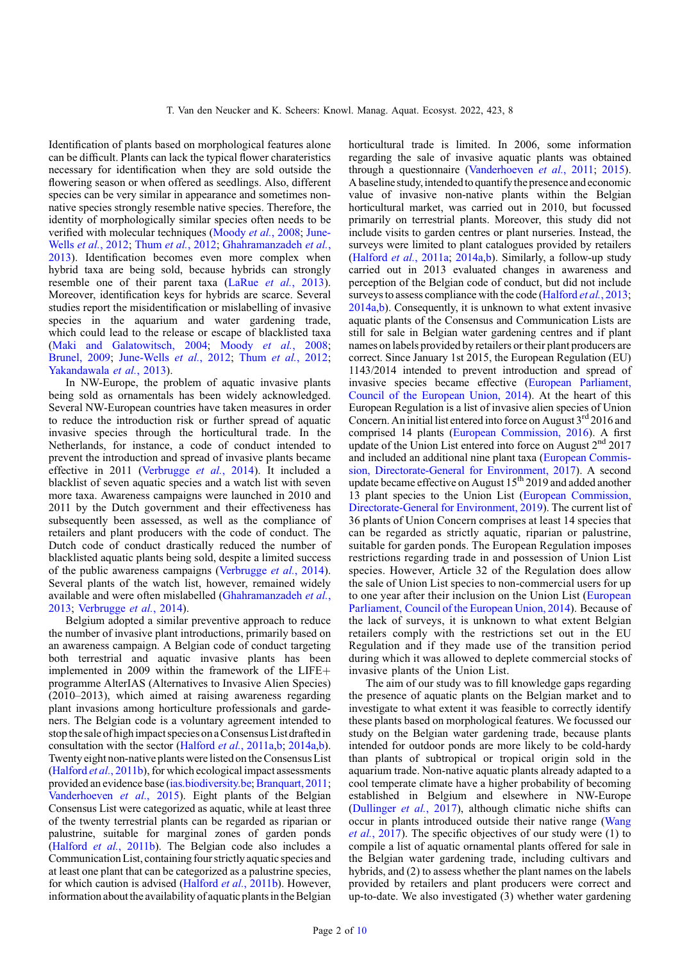Identification of plants based on morphological features alone can be difficult. Plants can lack the typical flower charateristics necessary for identification when they are sold outside the flowering season or when offered as seedlings. Also, different species can be very similar in appearance and sometimes nonnative species strongly resemble native species. Therefore, the identity of morphologically similar species often needs to be verified with molecular techniques ([Moody](#page-9-0) *et al.*, 2008; [June-](#page-8-0)Wells et al.[, 2012;](#page-8-0) Thum et al.[, 2012;](#page-9-0) [Ghahramanzadeh](#page-8-0) et al., [2013](#page-8-0)). Identification becomes even more complex when hybrid taxa are being sold, because hybrids can strongly resemble one of their parent taxa (LaRue et al.[, 2013](#page-8-0)). Moreover, identification keys for hybrids are scarce. Several studies report the misidentification or mislabelling of invasive species in the aquarium and water gardening trade, which could lead to the release or escape of blacklisted taxa ([Maki and Galatowitsch, 2004;](#page-9-0) Moody et al.[, 2008](#page-9-0); [Brunel, 2009;](#page-8-0) [June-Wells](#page-8-0) et al., 2012; Thum et al.[, 2012](#page-9-0); [Yakandawala](#page-9-0) et al., 2013).

In NW-Europe, the problem of aquatic invasive plants being sold as ornamentals has been widely acknowledged. Several NW-European countries have taken measures in order to reduce the introduction risk or further spread of aquatic invasive species through the horticultural trade. In the Netherlands, for instance, a code of conduct intended to prevent the introduction and spread of invasive plants became effective in 2011 ([Verbrugge](#page-9-0) et al., 2014). It included a blacklist of seven aquatic species and a watch list with seven more taxa. Awareness campaigns were launched in 2010 and 2011 by the Dutch government and their effectiveness has subsequently been assessed, as well as the compliance of retailers and plant producers with the code of conduct. The Dutch code of conduct drastically reduced the number of blacklisted aquatic plants being sold, despite a limited success of the public awareness campaigns [\(Verbrugge](#page-9-0) et al., 2014). Several plants of the watch list, however, remained widely available and were often mislabelled ([Ghahramanzadeh](#page-8-0) et al., [2013](#page-8-0); [Verbrugge](#page-9-0) et al., 2014).

Belgium adopted a similar preventive approach to reduce the number of invasive plant introductions, primarily based on an awareness campaign. A Belgian code of conduct targeting both terrestrial and aquatic invasive plants has been implemented in 2009 within the framework of the  $LIFE+$ programme AlterIAS (Alternatives to Invasive Alien Species) (2010–2013), which aimed at raising awareness regarding plant invasions among horticulture professionals and gardeners. The Belgian code is a voluntary agreement intended to stop the sale of high impact species on a Consensus List drafted in consultation with the sector ([Halford](#page-8-0) et al., 2011a[,b](#page-8-0); [2014a,b](#page-8-0)). Twenty eight non-native plants were listed onthe Consensus List ([Halford](#page-8-0) et al., 2011b), for which ecological impact assessments provided an evidence base (<ias.biodiversity.be>; [Branquart, 2011](#page-8-0); [Vanderhoeven](#page-9-0) et al., 2015). Eight plants of the Belgian Consensus List were categorized as aquatic, while at least three of the twenty terrestrial plants can be regarded as riparian or palustrine, suitable for marginal zones of garden ponds (Halford et al.[, 2011b\)](#page-8-0). The Belgian code also includes a Communication List, containing four strictly aquatic species and at least one plant that can be categorized as a palustrine species, for which caution is advised [\(Halford](#page-8-0) *et al.*, 2011b). However, information about the availability of aquatic plants in the Belgian horticultural trade is limited. In 2006, some information regarding the sale of invasive aquatic plants was obtained through a questionnaire ([Vanderhoeven](#page-9-0) et al., 2011; [2015](#page-9-0)). A baseline study, intended to quantify the presence and economic value of invasive non-native plants within the Belgian horticultural market, was carried out in 2010, but focussed primarily on terrestrial plants. Moreover, this study did not include visits to garden centres or plant nurseries. Instead, the surveys were limited to plant catalogues provided by retailers ([Halford](#page-8-0) et al., 2011a; [2014a](#page-8-0),[b](#page-8-0)). Similarly, a follow-up study carried out in 2013 evaluated changes in awareness and perception of the Belgian code of conduct, but did not include surveys to assess compliance with the code [\(Halford](#page-8-0) *et al.*, 2013; [2014a](#page-8-0),[b\)](#page-8-0). Consequently, it is unknown to what extent invasive aquatic plants of the Consensus and Communication Lists are still for sale in Belgian water gardening centres and if plant names on labels provided by retailers or their plant producers are correct. Since January 1st 2015, the European Regulation (EU) 1143/2014 intended to prevent introduction and spread of invasive species became effective ([European Parliament,](#page-8-0) [Council of the European Union, 2014](#page-8-0)). At the heart of this European Regulation is a list of invasive alien species of Union Concern. An initial list entered into force on August  $3<sup>rd</sup> 2016$  and comprised 14 plants ([European Commission, 2016](#page-8-0)). A first update of the Union List entered into force on August  $2<sup>nd</sup>$  2017 and included an additional nine plant taxa ([European Commis](#page-8-0)[sion, Directorate-General for Environment, 2017](#page-8-0)). A second update became effective on August  $15<sup>th</sup> 2019$  and added another 13 plant species to the Union List [\(European Commission,](#page-8-0) [Directorate-General for Environment, 2019](#page-8-0)). The current list of 36 plants of Union Concern comprises at least 14 species that can be regarded as strictly aquatic, riparian or palustrine, suitable for garden ponds. The European Regulation imposes restrictions regarding trade in and possession of Union List species. However, Article 32 of the Regulation does allow the sale of Union List species to non-commercial users for up to one year after their inclusion on the Union List ([European](#page-8-0) [Parliament, Council of the European Union, 2014](#page-8-0)). Because of the lack of surveys, it is unknown to what extent Belgian retailers comply with the restrictions set out in the EU Regulation and if they made use of the transition period during which it was allowed to deplete commercial stocks of invasive plants of the Union List.

The aim of our study was to fill knowledge gaps regarding the presence of aquatic plants on the Belgian market and to investigate to what extent it was feasible to correctly identify these plants based on morphological features. We focussed our study on the Belgian water gardening trade, because plants intended for outdoor ponds are more likely to be cold-hardy than plants of subtropical or tropical origin sold in the aquarium trade. Non-native aquatic plants already adapted to a cool temperate climate have a higher probability of becoming established in Belgium and elsewhere in NW-Europe ([Dullinger](#page-8-0) et al., 2017), although climatic niche shifts can occur in plants introduced outside their native range ([Wang](#page-9-0) *et al.*,  $20\overline{17}$ . The specific objectives of our study were (1) to compile a list of aquatic ornamental plants offered for sale in the Belgian water gardening trade, including cultivars and hybrids, and (2) to assess whether the plant names on the labels provided by retailers and plant producers were correct and up-to-date. We also investigated (3) whether water gardening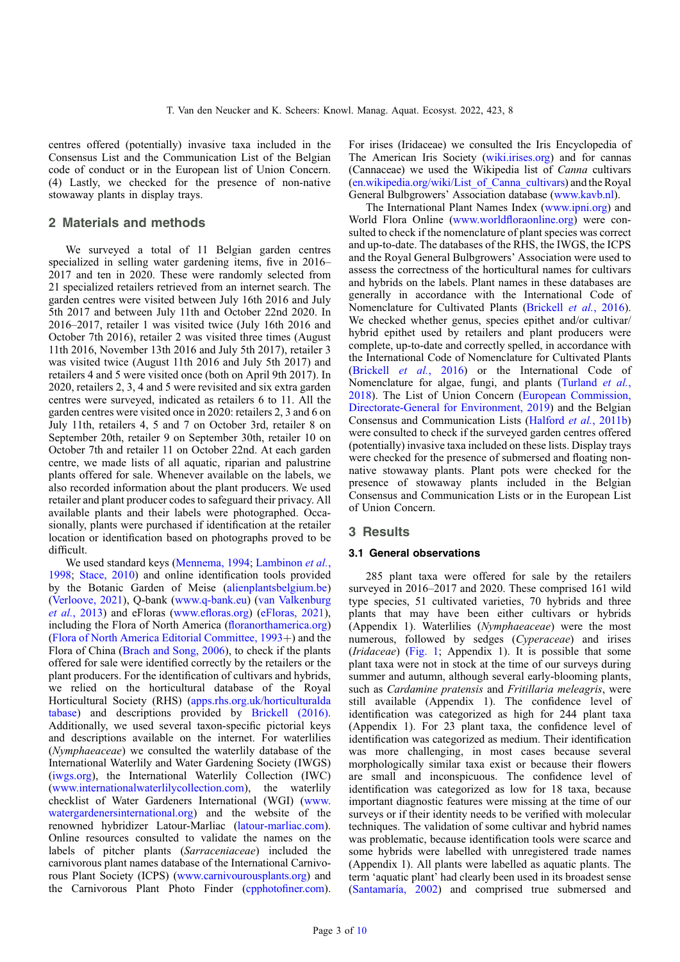centres offered (potentially) invasive taxa included in the Consensus List and the Communication List of the Belgian code of conduct or in the European list of Union Concern. (4) Lastly, we checked for the presence of non-native stowaway plants in display trays.

## 2 Materials and methods

We surveyed a total of 11 Belgian garden centres specialized in selling water gardening items, five in 2016– 2017 and ten in 2020. These were randomly selected from 21 specialized retailers retrieved from an internet search. The garden centres were visited between July 16th 2016 and July 5th 2017 and between July 11th and October 22nd 2020. In 2016–2017, retailer 1 was visited twice (July 16th 2016 and October 7th 2016), retailer 2 was visited three times (August 11th 2016, November 13th 2016 and July 5th 2017), retailer 3 was visited twice (August 11th 2016 and July 5th 2017) and retailers 4 and 5 were visited once (both on April 9th 2017). In 2020, retailers 2, 3, 4 and 5 were revisited and six extra garden centres were surveyed, indicated as retailers 6 to 11. All the garden centres were visited once in 2020: retailers 2, 3 and 6 on July 11th, retailers 4, 5 and 7 on October 3rd, retailer 8 on September 20th, retailer 9 on September 30th, retailer 10 on October 7th and retailer 11 on October 22nd. At each garden centre, we made lists of all aquatic, riparian and palustrine plants offered for sale. Whenever available on the labels, we also recorded information about the plant producers. We used retailer and plant producer codes to safeguard their privacy. All available plants and their labels were photographed. Occasionally, plants were purchased if identification at the retailer location or identification based on photographs proved to be difficult.

We used standard keys [\(Mennema, 1994;](#page-9-0) [Lambinon](#page-8-0) et al., [1998](#page-8-0); [Stace, 2010\)](#page-9-0) and online identification tools provided by the Botanic Garden of Meise ([alienplantsbelgium.be\)](alienplantsbelgium.be) ([Verloove, 2021\)](#page-9-0), Q-bank [\(www.q-bank.eu](www.q-bank.eu)) [\(van Valkenburg](#page-9-0) et al.[, 2013](#page-9-0)) and eFloras (www.efl[oras.org\)](www.efloras.org) [\(eFloras, 2021](#page-8-0)), including the Flora of North America (fl[oranorthamerica.org\)](floranorthamerica.org) (Flora of North America Editorial Committee,  $1993+$ ) and the Flora of China [\(Brach and Song, 2006\)](#page-8-0), to check if the plants offered for sale were identified correctly by the retailers or the plant producers. For the identification of cultivars and hybrids, we relied on the horticultural database of the Royal Horticultural Society (RHS) [\(apps.rhs.org.uk/horticulturalda](apps.rhs.org.uk/horticulturaldatabase) [tabase](apps.rhs.org.uk/horticulturaldatabase)) and descriptions provided by [Brickell \(2016\)](#page-8-0). Additionally, we used several taxon-specific pictorial keys and descriptions available on the internet. For waterlilies (Nymphaeaceae) we consulted the waterlily database of the International Waterlily and Water Gardening Society (IWGS) (<iwgs.org>), the International Waterlily Collection (IWC) ([www.internationalwaterlilycollection.com\)](www.internationalwaterlilycollection.com), the waterlily checklist of Water Gardeners International (WGI) [\(www.](www.watergardenersinternational.org) [watergardenersinternational.org](www.watergardenersinternational.org)) and the website of the renowned hybridizer Latour-Marliac [\(latour-marliac.com](latour-marliac.com)). Online resources consulted to validate the names on the labels of pitcher plants (Sarraceniaceae) included the carnivorous plant names database of the International Carnivorous Plant Society (ICPS) [\(www.carnivourousplants.org](www.carnivourousplants.org)) and the Carnivorous Plant Photo Finder [\(cpphoto](cpphotofiner.com)finer.com).

For irises (Iridaceae) we consulted the Iris Encyclopedia of The American Iris Society ([wiki.irises.org\)](wiki.irises.org) and for cannas (Cannaceae) we used the Wikipedia list of Canna cultivars ([en.wikipedia.org/wiki/List\\_of\\_Canna\\_cultivars\)](en.wikipedia.org/wiki/List_of_Canna_cultivars) and the Royal General Bulbgrowers' Association database [\(www.kavb.nl\)](www.kavb.nl.).

The International Plant Names Index [\(www.ipni.org\)](www.ipni.org) and World Flora Online (www.worldfl[oraonline.org](www.worldfloraonline.org)) were consulted to check if the nomenclature of plant species was correct and up-to-date. The databases of the RHS, the IWGS, the ICPS and the Royal General Bulbgrowers' Association were used to assess the correctness of the horticultural names for cultivars and hybrids on the labels. Plant names in these databases are generally in accordance with the International Code of Nomenclature for Cultivated Plants [\(Brickell](#page-8-0) et al., 2016). We checked whether genus, species epithet and/or cultivar/ hybrid epithet used by retailers and plant producers were complete, up-to-date and correctly spelled, in accordance with the International Code of Nomenclature for Cultivated Plants ([Brickell](#page-8-0) et al., 2016) or the International Code of Nomenclature for algae, fungi, and plants ([Turland](#page-9-0) et al., [2018](#page-9-0)). The List of Union Concern ([European Commission,](#page-8-0) [Directorate-General for Environment, 2019](#page-8-0)) and the Belgian Consensus and Communication Lists [\(Halford](#page-8-0) et al., 2011b) were consulted to check if the surveyed garden centres offered (potentially) invasive taxa included on these lists. Display trays were checked for the presence of submersed and floating nonnative stowaway plants. Plant pots were checked for the presence of stowaway plants included in the Belgian Consensus and Communication Lists or in the European List of Union Concern.

# 3 Results

## 3.1 General observations

285 plant taxa were offered for sale by the retailers surveyed in 2016–2017 and 2020. These comprised 161 wild type species, 51 cultivated varieties, 70 hybrids and three plants that may have been either cultivars or hybrids (Appendix 1). Waterlilies (Nymphaeaceae) were the most numerous, followed by sedges (Cyperaceae) and irises (Iridaceae) [\(Fig. 1](#page-3-0); Appendix 1). It is possible that some plant taxa were not in stock at the time of our surveys during summer and autumn, although several early-blooming plants, such as Cardamine pratensis and Fritillaria meleagris, were still available (Appendix 1). The confidence level of identification was categorized as high for 244 plant taxa (Appendix 1). For 23 plant taxa, the confidence level of identification was categorized as medium. Their identification was more challenging, in most cases because several morphologically similar taxa exist or because their flowers are small and inconspicuous. The confidence level of identification was categorized as low for 18 taxa, because important diagnostic features were missing at the time of our surveys or if their identity needs to be verified with molecular techniques. The validation of some cultivar and hybrid names was problematic, because identification tools were scarce and some hybrids were labelled with unregistered trade names (Appendix 1). All plants were labelled as aquatic plants. The term 'aquatic plant' had clearly been used in its broadest sense ([Santamaría, 2002](#page-9-0)) and comprised true submersed and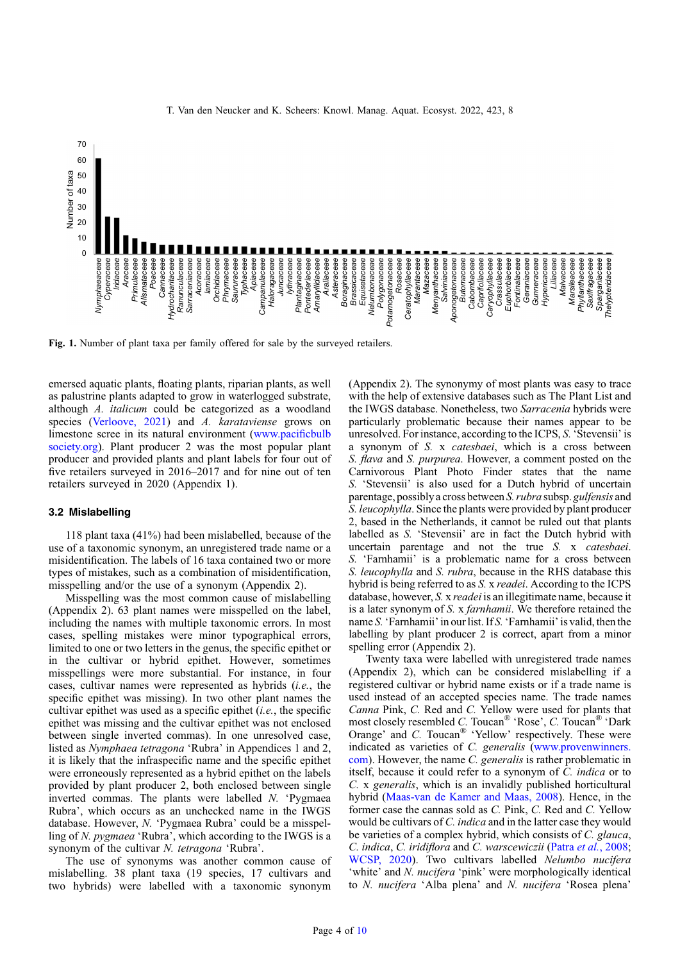<span id="page-3-0"></span>

Fig. 1. Number of plant taxa per family offered for sale by the surveyed retailers.

emersed aquatic plants, floating plants, riparian plants, as well as palustrine plants adapted to grow in waterlogged substrate, although A. italicum could be categorized as a woodland species [\(Verloove, 2021\)](#page-9-0) and A. karataviense grows on limestone scree in its natural environment [\(www.paci](www.pacificbulbsociety.org)ficbulb [society.org\)](www.pacificbulbsociety.org). Plant producer 2 was the most popular plant producer and provided plants and plant labels for four out of five retailers surveyed in 2016–2017 and for nine out of ten retailers surveyed in 2020 (Appendix 1).

#### 3.2 Mislabelling

118 plant taxa (41%) had been mislabelled, because of the use of a taxonomic synonym, an unregistered trade name or a misidentification. The labels of 16 taxa contained two or more types of mistakes, such as a combination of misidentification, misspelling and/or the use of a synonym (Appendix 2).

Misspelling was the most common cause of mislabelling (Appendix 2). 63 plant names were misspelled on the label, including the names with multiple taxonomic errors. In most cases, spelling mistakes were minor typographical errors, limited to one or two letters in the genus, the specific epithet or in the cultivar or hybrid epithet. However, sometimes misspellings were more substantial. For instance, in four cases, cultivar names were represented as hybrids (i.e., the specific epithet was missing). In two other plant names the cultivar epithet was used as a specific epithet (i.e., the specific epithet was missing and the cultivar epithet was not enclosed between single inverted commas). In one unresolved case, listed as Nymphaea tetragona 'Rubra' in Appendices 1 and 2, it is likely that the infraspecific name and the specific epithet were erroneously represented as a hybrid epithet on the labels provided by plant producer 2, both enclosed between single inverted commas. The plants were labelled N. 'Pygmaea Rubra', which occurs as an unchecked name in the IWGS database. However, N. 'Pygmaea Rubra' could be a misspelling of N. pygmaea 'Rubra', which according to the IWGS is a synonym of the cultivar N. tetragona 'Rubra'.

The use of synonyms was another common cause of mislabelling. 38 plant taxa (19 species, 17 cultivars and two hybrids) were labelled with a taxonomic synonym (Appendix 2). The synonymy of most plants was easy to trace with the help of extensive databases such as The Plant List and the IWGS database. Nonetheless, two Sarracenia hybrids were particularly problematic because their names appear to be unresolved. For instance, according to the ICPS, S.'Stevensii' is a synonym of S. x catesbaei, which is a cross between S. flava and S. purpurea. However, a comment posted on the Carnivorous Plant Photo Finder states that the name S. 'Stevensii' is also used for a Dutch hybrid of uncertain parentage, possibly a cross between S. rubra subsp. gulfensis and S. leucophylla. Since the plants were provided by plant producer 2, based in the Netherlands, it cannot be ruled out that plants labelled as S. 'Stevensii' are in fact the Dutch hybrid with uncertain parentage and not the true S. x catesbaei. S. 'Farnhamii' is a problematic name for a cross between S. leucophylla and S. rubra, because in the RHS database this hybrid is being referred to as S. x readei. According to the ICPS database, however, S. x readei is an illegitimate name, because it is a later synonym of S. x farnhamii. We therefore retained the name S. 'Farnhamii' in our list. If S. 'Farnhamii' is valid, then the labelling by plant producer 2 is correct, apart from a minor spelling error (Appendix 2).

Twenty taxa were labelled with unregistered trade names (Appendix 2), which can be considered mislabelling if a registered cultivar or hybrid name exists or if a trade name is used instead of an accepted species name. The trade names Canna Pink, C. Red and C. Yellow were used for plants that most closely resembled C. Toucan® 'Rose', C. Toucan® 'Dark Orange' and C. Toucan® 'Yellow' respectively. These were indicated as varieties of C. generalis ([www.provenwinners.](www.provenwinners.com) [com\)](www.provenwinners.com). However, the name C. generalis is rather problematic in itself, because it could refer to a synonym of C. indica or to C. x generalis, which is an invalidly published horticultural hybrid [\(Maas-van de Kamer and Maas, 2008](#page-9-0)). Hence, in the former case the cannas sold as C. Pink, C. Red and C. Yellow would be cultivars of C. indica and in the latter case they would be varieties of a complex hybrid, which consists of C. glauca, C. indica, C. iridiflora and C. warscewiczii (Patra et al.[, 2008;](#page-9-0) [WCSP, 2020\)](#page-9-0). Two cultivars labelled Nelumbo nucifera 'white' and N. nucifera 'pink' were morphologically identical to N. nucifera 'Alba plena' and N. nucifera 'Rosea plena'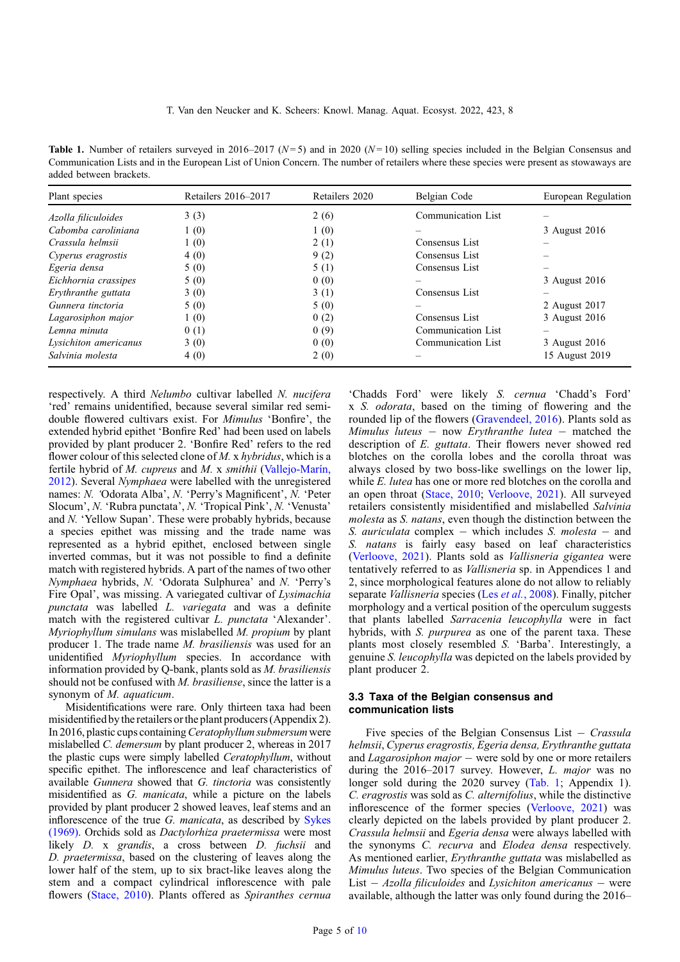<span id="page-4-0"></span>**Table 1.** Number of retailers surveyed in 2016–2017 ( $N=5$ ) and in 2020 ( $N=10$ ) selling species included in the Belgian Consensus and Communication Lists and in the European List of Union Concern. The number of retailers where these species were present as stowaways are added between brackets.

| Plant species         | Retailers 2016–2017 | Retailers 2020 | Belgian Code       | European Regulation |
|-----------------------|---------------------|----------------|--------------------|---------------------|
| Azolla filiculoides   | 3(3)                | 2(6)           | Communication List |                     |
| Cabomba caroliniana   | 1(0)                | 1(0)           |                    | 3 August 2016       |
| Crassula helmsii      | 1(0)                | 2(1)           | Consensus List     |                     |
| Cyperus eragrostis    | 4(0)                | 9(2)           | Consensus List     |                     |
| Egeria densa          | 5(0)                | 5(1)           | Consensus List     |                     |
| Eichhornia crassipes  | 5(0)                | 0(0)           |                    | 3 August 2016       |
| Erythranthe guttata   | 3(0)                | 3(1)           | Consensus List     |                     |
| Gunnera tinctoria     | 5(0)                | 5(0)           |                    | 2 August 2017       |
| Lagarosiphon major    | 1(0)                | 0(2)           | Consensus List     | 3 August 2016       |
| Lemna minuta          | 0(1)                | 0(9)           | Communication List |                     |
| Lysichiton americanus | 3(0)                | 0(0)           | Communication List | 3 August 2016       |
| Salvinia molesta      | 4(0)                | 2(0)           |                    | 15 August 2019      |

respectively. A third Nelumbo cultivar labelled N. nucifera 'red' remains unidentified, because several similar red semidouble flowered cultivars exist. For Mimulus 'Bonfire', the extended hybrid epithet 'Bonfire Red' had been used on labels provided by plant producer 2. 'Bonfire Red' refers to the red flower colour of this selected clone of M. x hybridus, which is a fertile hybrid of M. cupreus and M. x smithii [\(Vallejo-Marín,](#page-9-0) [2012](#page-9-0)). Several Nymphaea were labelled with the unregistered names: N. 'Odorata Alba', N. 'Perry's Magnificent', N. 'Peter Slocum', N. 'Rubra punctata', N. 'Tropical Pink', N. 'Venusta' and N. 'Yellow Supan'. These were probably hybrids, because a species epithet was missing and the trade name was represented as a hybrid epithet, enclosed between single inverted commas, but it was not possible to find a definite match with registered hybrids. A part of the names of two other Nymphaea hybrids, N. 'Odorata Sulphurea' and N. 'Perry's Fire Opal', was missing. A variegated cultivar of Lysimachia punctata was labelled L. variegata and was a definite match with the registered cultivar L. punctata 'Alexander'. Myriophyllum simulans was mislabelled M. propium by plant producer 1. The trade name M. brasiliensis was used for an unidentified Myriophyllum species. In accordance with information provided by Q-bank, plants sold as M. brasiliensis should not be confused with M. brasiliense, since the latter is a synonym of M. aquaticum.

Misidentifications were rare. Only thirteen taxa had been misidentified bythe retailers orthe plant producers (Appendix 2). In 2016, plastic cups containing Ceratophyllum submersum were mislabelled C. demersum by plant producer 2, whereas in 2017 the plastic cups were simply labelled Ceratophyllum, without specific epithet. The inflorescence and leaf characteristics of available Gunnera showed that G. tinctoria was consistently misidentified as G. manicata, while a picture on the labels provided by plant producer 2 showed leaves, leaf stems and an inflorescence of the true G. manicata, as described by [Sykes](#page-9-0) [\(1969\)](#page-9-0). Orchids sold as Dactylorhiza praetermissa were most likely *D*. x *grandis*, a cross between *D. fuchsii* and D. praetermissa, based on the clustering of leaves along the lower half of the stem, up to six bract-like leaves along the stem and a compact cylindrical inflorescence with pale flowers ([Stace, 2010\)](#page-9-0). Plants offered as Spiranthes cernua 'Chadds Ford' were likely S. cernua 'Chadd's Ford' x S. odorata, based on the timing of flowering and the rounded lip of the flowers ([Gravendeel, 2016\)](#page-8-0). Plants sold as Mimulus luteus – now Erythranthe lutea – matched the description of E. guttata. Their flowers never showed red blotches on the corolla lobes and the corolla throat was always closed by two boss-like swellings on the lower lip, while E. lutea has one or more red blotches on the corolla and an open throat ([Stace, 2010;](#page-9-0) [Verloove, 2021](#page-9-0)). All surveyed retailers consistently misidentified and mislabelled Salvinia molesta as S. natans, even though the distinction between the S. *auriculata* complex – which includes S. *molesta* – and S. *natans* is fairly easy based on leaf characteristics ([Verloove, 2021](#page-9-0)). Plants sold as Vallisneria gigantea were tentatively referred to as Vallisneria sp. in Appendices 1 and 2, since morphological features alone do not allow to reliably separate Vallisneria species (Les et al.[, 2008\)](#page-9-0). Finally, pitcher morphology and a vertical position of the operculum suggests that plants labelled Sarracenia leucophylla were in fact hybrids, with *S. purpurea* as one of the parent taxa. These plants most closely resembled S. 'Barba'. Interestingly, a genuine S. leucophylla was depicted on the labels provided by plant producer 2.

## 3.3 Taxa of the Belgian consensus and communication lists

Five species of the Belgian Consensus List  $-$  Crassula helmsii, Cyperus eragrostis, Egeria densa, Erythranthe guttata and *Lagarosiphon major*  $-$  were sold by one or more retailers during the 2016–2017 survey. However, L. major was no longer sold during the 2020 survey (Tab. 1; Appendix 1). C. eragrostis was sold as C. alternifolius, while the distinctive inflorescence of the former species ([Verloove, 2021\)](#page-9-0) was clearly depicted on the labels provided by plant producer 2. Crassula helmsii and Egeria densa were always labelled with the synonyms C. recurva and Elodea densa respectively. As mentioned earlier, Erythranthe guttata was mislabelled as Mimulus luteus. Two species of the Belgian Communication List  $-$  Azolla filiculoides and Lysichiton americanus  $-$  were available, although the latter was only found during the 2016–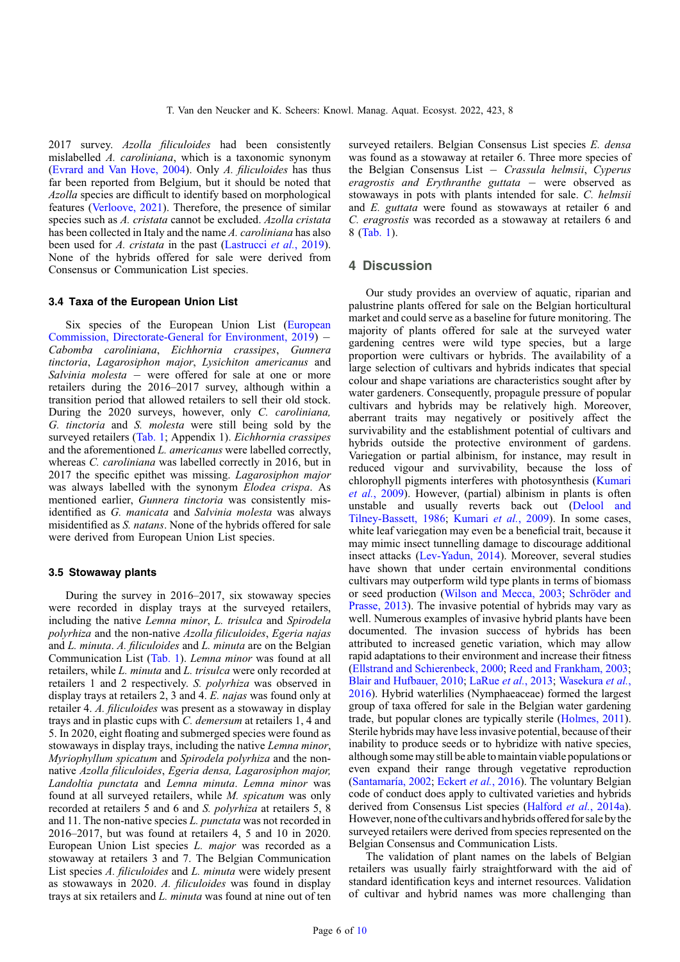2017 survey. Azolla filiculoides had been consistently mislabelled A. caroliniana, which is a taxonomic synonym ([Evrard and Van Hove, 2004](#page-8-0)). Only A. filiculoides has thus far been reported from Belgium, but it should be noted that Azolla species are difficult to identify based on morphological features ([Verloove, 2021\)](#page-9-0). Therefore, the presence of similar species such as A. cristata cannot be excluded. Azolla cristata has been collected in Italy and the name A. *caroliniana* has also been used for A. cristata in the past ([Lastrucci](#page-9-0) et al., 2019). None of the hybrids offered for sale were derived from Consensus or Communication List species.

#### 3.4 Taxa of the European Union List

Six species of the European Union List ([European](#page-8-0) [Commission, Directorate-General for Environment, 2019](#page-8-0)) - Cabomba caroliniana, Eichhornia crassipes, Gunnera tinctoria, Lagarosiphon major, Lysichiton americanus and Salvinia molesta – were offered for sale at one or more retailers during the 2016–2017 survey, although within a transition period that allowed retailers to sell their old stock. During the 2020 surveys, however, only C. caroliniana, G. tinctoria and S. molesta were still being sold by the surveyed retailers [\(Tab. 1](#page-4-0); Appendix 1). *Eichhornia crassipes* and the aforementioned L. americanus were labelled correctly, whereas *C. caroliniana* was labelled correctly in 2016, but in 2017 the specific epithet was missing. Lagarosiphon major was always labelled with the synonym Elodea crispa. As mentioned earlier, Gunnera tinctoria was consistently misidentified as G. manicata and Salvinia molesta was always misidentified as S. natans. None of the hybrids offered for sale were derived from European Union List species.

#### 3.5 Stowaway plants

During the survey in 2016–2017, six stowaway species were recorded in display trays at the surveyed retailers, including the native Lemna minor, L. trisulca and Spirodela polyrhiza and the non-native Azolla filiculoides, Egeria najas and L. minuta. A. filiculoides and L. minuta are on the Belgian Communication List [\(Tab. 1\)](#page-4-0). Lemna minor was found at all retailers, while L. minuta and L. trisulca were only recorded at retailers 1 and 2 respectively. S. polyrhiza was observed in display trays at retailers 2, 3 and 4. E. najas was found only at retailer 4. A. filiculoides was present as a stowaway in display trays and in plastic cups with C. demersum at retailers 1, 4 and 5. In 2020, eight floating and submerged species were found as stowaways in display trays, including the native Lemna minor, Myriophyllum spicatum and Spirodela polyrhiza and the nonnative Azolla filiculoides, Egeria densa, Lagarosiphon major, Landoltia punctata and Lemna minuta. Lemna minor was found at all surveyed retailers, while M. spicatum was only recorded at retailers 5 and 6 and S. polyrhiza at retailers 5, 8 and 11. The non-native species L. punctata was not recorded in 2016–2017, but was found at retailers 4, 5 and 10 in 2020. European Union List species L. major was recorded as a stowaway at retailers 3 and 7. The Belgian Communication List species A. filiculoides and L. minuta were widely present as stowaways in 2020. A. filiculoides was found in display trays at six retailers and L. minuta was found at nine out of ten

surveyed retailers. Belgian Consensus List species E. densa was found as a stowaway at retailer 6. Three more species of the Belgian Consensus List - Crassula helmsii, Cyperus eragrostis and Erythranthe guttata - were observed as stowaways in pots with plants intended for sale. C. helmsii and E. guttata were found as stowaways at retailer 6 and C. eragrostis was recorded as a stowaway at retailers 6 and 8 [\(Tab. 1\)](#page-4-0).

### 4 Discussion

Our study provides an overview of aquatic, riparian and palustrine plants offered for sale on the Belgian horticultural market and could serve as a baseline for future monitoring. The majority of plants offered for sale at the surveyed water gardening centres were wild type species, but a large proportion were cultivars or hybrids. The availability of a large selection of cultivars and hybrids indicates that special colour and shape variations are characteristics sought after by water gardeners. Consequently, propagule pressure of popular cultivars and hybrids may be relatively high. Moreover, aberrant traits may negatively or positively affect the survivability and the establishment potential of cultivars and hybrids outside the protective environment of gardens. Variegation or partial albinism, for instance, may result in reduced vigour and survivability, because the loss of chlorophyll pigments interferes with photosynthesis [\(Kumari](#page-8-0) et al.[, 2009\)](#page-8-0). However, (partial) albinism in plants is often unstable and usually reverts back out ([Delool and](#page-8-0) [Tilney-Bassett, 1986](#page-8-0); [Kumari](#page-8-0) et al., 2009). In some cases, white leaf variegation may even be a beneficial trait, because it may mimic insect tunnelling damage to discourage additional insect attacks [\(Lev-Yadun, 2014](#page-9-0)). Moreover, several studies have shown that under certain environmental conditions cultivars may outperform wild type plants in terms of biomass or seed production [\(Wilson and Mecca, 2003](#page-9-0); [Schröder and](#page-9-0) [Prasse, 2013](#page-9-0)). The invasive potential of hybrids may vary as well. Numerous examples of invasive hybrid plants have been documented. The invasion success of hybrids has been attributed to increased genetic variation, which may allow rapid adaptations to their environment and increase their fitness ([Ellstrand and Schierenbeck, 2000;](#page-8-0) [Reed and Frankham, 2003;](#page-9-0) [Blair and Hufbauer, 2010;](#page-7-0) [LaRue](#page-8-0) et al., 2013; [Wasekura](#page-9-0) et al., [2016](#page-9-0)). Hybrid waterlilies (Nymphaeaceae) formed the largest group of taxa offered for sale in the Belgian water gardening trade, but popular clones are typically sterile [\(Holmes, 2011](#page-8-0)). Sterile hybrids may have less invasive potential, because of their inability to produce seeds or to hybridize with native species, although some may still be able to maintain viable populations or even expand their range through vegetative reproduction ([Santamaría, 2002;](#page-9-0) [Eckert](#page-8-0) et al., 2016). The voluntary Belgian code of conduct does apply to cultivated varieties and hybrids derived from Consensus List species ([Halford](#page-8-0) et al., 2014a). However, none ofthe cultivars and hybrids offered for sale bythe surveyed retailers were derived from species represented on the Belgian Consensus and Communication Lists.

The validation of plant names on the labels of Belgian retailers was usually fairly straightforward with the aid of standard identification keys and internet resources. Validation of cultivar and hybrid names was more challenging than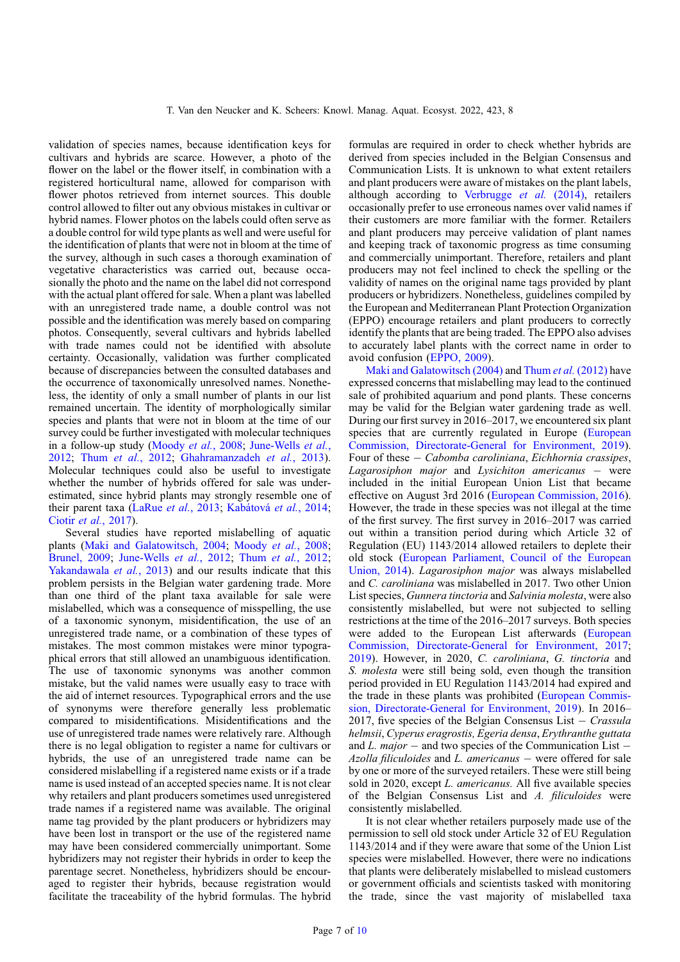validation of species names, because identification keys for cultivars and hybrids are scarce. However, a photo of the flower on the label or the flower itself, in combination with a registered horticultural name, allowed for comparison with flower photos retrieved from internet sources. This double control allowed to filter out any obvious mistakes in cultivar or hybrid names. Flower photos on the labels could often serve as a double control for wild type plants as well and were useful for the identification of plants that were not in bloom at the time of the survey, although in such cases a thorough examination of vegetative characteristics was carried out, because occasionally the photo and the name on the label did not correspond with the actual plant offered for sale. When a plant was labelled with an unregistered trade name, a double control was not possible and the identification was merely based on comparing photos. Consequently, several cultivars and hybrids labelled with trade names could not be identified with absolute certainty. Occasionally, validation was further complicated because of discrepancies between the consulted databases and the occurrence of taxonomically unresolved names. Nonetheless, the identity of only a small number of plants in our list remained uncertain. The identity of morphologically similar species and plants that were not in bloom at the time of our survey could be further investigated with molecular techniques in a follow-up study [\(Moody](#page-9-0) et al., 2008; [June-Wells](#page-8-0) et al., [2012](#page-8-0); Thum et al.[, 2012](#page-9-0); [Ghahramanzadeh](#page-8-0) et al., 2013). Molecular techniques could also be useful to investigate whether the number of hybrids offered for sale was underestimated, since hybrid plants may strongly resemble one of their parent taxa ([LaRue](#page-8-0) et al., 2013; [Kabátová](#page-8-0) et al., 2014; Ciotir et al.[, 2017](#page-8-0)).

Several studies have reported mislabelling of aquatic plants [\(Maki and Galatowitsch, 2004;](#page-9-0) [Moody](#page-9-0) et al., 2008; [Brunel, 2009;](#page-8-0) [June-Wells](#page-8-0) et al., 2012; Thum et al.[, 2012](#page-9-0); [Yakandawala](#page-9-0) *et al.*, 2013) and our results indicate that this problem persists in the Belgian water gardening trade. More than one third of the plant taxa available for sale were mislabelled, which was a consequence of misspelling, the use of a taxonomic synonym, misidentification, the use of an unregistered trade name, or a combination of these types of mistakes. The most common mistakes were minor typographical errors that still allowed an unambiguous identification. The use of taxonomic synonyms was another common mistake, but the valid names were usually easy to trace with the aid of internet resources. Typographical errors and the use of synonyms were therefore generally less problematic compared to misidentifications. Misidentifications and the use of unregistered trade names were relatively rare. Although there is no legal obligation to register a name for cultivars or hybrids, the use of an unregistered trade name can be considered mislabelling if a registered name exists or if a trade name is used instead of an accepted species name. It is not clear why retailers and plant producers sometimes used unregistered trade names if a registered name was available. The original name tag provided by the plant producers or hybridizers may have been lost in transport or the use of the registered name may have been considered commercially unimportant. Some hybridizers may not register their hybrids in order to keep the parentage secret. Nonetheless, hybridizers should be encouraged to register their hybrids, because registration would facilitate the traceability of the hybrid formulas. The hybrid

formulas are required in order to check whether hybrids are derived from species included in the Belgian Consensus and Communication Lists. It is unknown to what extent retailers and plant producers were aware of mistakes on the plant labels, although according to [Verbrugge](#page-9-0) et al. (2014), retailers occasionally prefer to use erroneous names over valid names if their customers are more familiar with the former. Retailers and plant producers may perceive validation of plant names and keeping track of taxonomic progress as time consuming and commercially unimportant. Therefore, retailers and plant producers may not feel inclined to check the spelling or the validity of names on the original name tags provided by plant producers or hybridizers. Nonetheless, guidelines compiled by the European and Mediterranean Plant Protection Organization (EPPO) encourage retailers and plant producers to correctly identify the plants that are being traded. The EPPO also advises to accurately label plants with the correct name in order to avoid confusion ([EPPO, 2009\)](#page-8-0).

[Maki and Galatowitsch \(2004\)](#page-9-0) and Thum et al. [\(2012\)](#page-9-0) have expressed concerns that mislabelling may lead to the continued sale of prohibited aquarium and pond plants. These concerns may be valid for the Belgian water gardening trade as well. During our first survey in 2016–2017, we encountered six plant species that are currently regulated in Europe ([European](#page-8-0) [Commission, Directorate-General for Environment, 2019\)](#page-8-0). Four of these - Cabomba caroliniana, Eichhornia crassipes, Lagarosiphon major and Lysichiton americanus - were included in the initial European Union List that became effective on August 3rd 2016 [\(European Commission, 2016\)](#page-8-0). However, the trade in these species was not illegal at the time of the first survey. The first survey in 2016–2017 was carried out within a transition period during which Article 32 of Regulation (EU) 1143/2014 allowed retailers to deplete their old stock ([European Parliament, Council of the European](#page-8-0) [Union, 2014](#page-8-0)). Lagarosiphon major was always mislabelled and C. caroliniana was mislabelled in 2017. Two other Union List species, Gunnera tinctoria and Salvinia molesta, were also consistently mislabelled, but were not subjected to selling restrictions at the time of the 2016–2017 surveys. Both species were added to the European List afterwards ([European](#page-8-0) [Commission, Directorate-General for Environment, 2017;](#page-8-0) [2019](#page-8-0)). However, in 2020, C. caroliniana, G. tinctoria and S. molesta were still being sold, even though the transition period provided in EU Regulation 1143/2014 had expired and the trade in these plants was prohibited ([European Commis](#page-8-0)[sion, Directorate-General for Environment, 2019\)](#page-8-0). In 2016– 2017, five species of the Belgian Consensus List  $-$  Crassula helmsii, Cyperus eragrostis, Egeria densa, Erythranthe guttata and L.  $major$  – and two species of the Communication List – Azolla filiculoides and L. americanus – were offered for sale by one or more of the surveyed retailers. These were still being sold in 2020, except *L. americanus*. All five available species of the Belgian Consensus List and A. filiculoides were consistently mislabelled.

It is not clear whether retailers purposely made use of the permission to sell old stock under Article 32 of EU Regulation 1143/2014 and if they were aware that some of the Union List species were mislabelled. However, there were no indications that plants were deliberately mislabelled to mislead customers or government officials and scientists tasked with monitoring the trade, since the vast majority of mislabelled taxa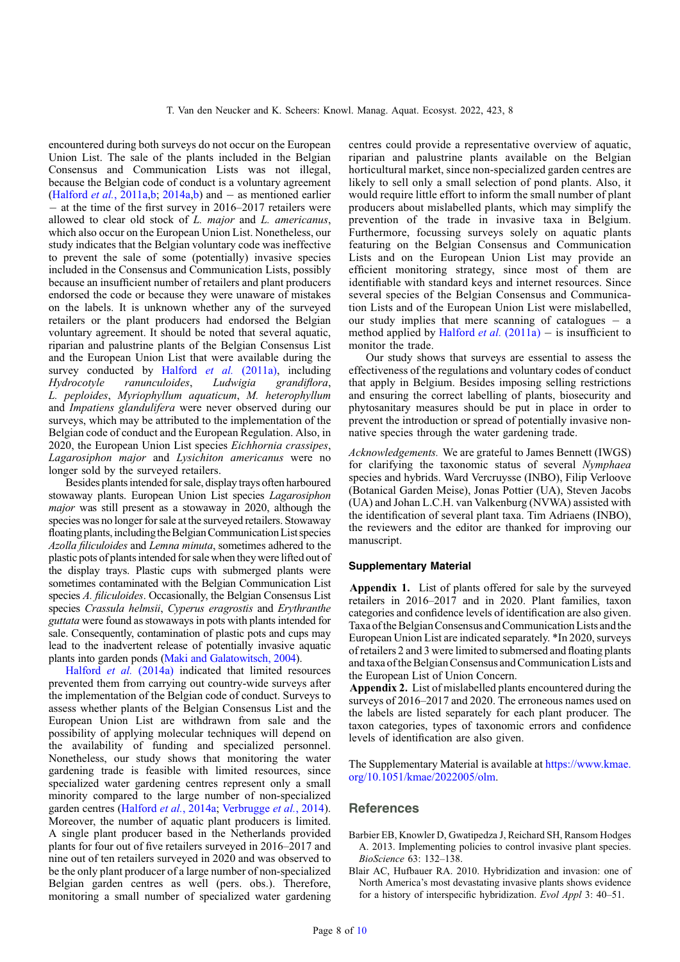<span id="page-7-0"></span>encountered during both surveys do not occur on the European Union List. The sale of the plants included in the Belgian Consensus and Communication Lists was not illegal, because the Belgian code of conduct is a voluntary agreement ([Halford](#page-8-0) *et al.*, 2011a,b, [2014a,b](#page-8-0)) and  $-$  as mentioned earlier - at the time of the first survey in 2016–2017 retailers were allowed to clear old stock of L. major and L. americanus, which also occur on the European Union List. Nonetheless, our study indicates that the Belgian voluntary code was ineffective to prevent the sale of some (potentially) invasive species included in the Consensus and Communication Lists, possibly because an insufficient number of retailers and plant producers endorsed the code or because they were unaware of mistakes on the labels. It is unknown whether any of the surveyed retailers or the plant producers had endorsed the Belgian voluntary agreement. It should be noted that several aquatic, riparian and palustrine plants of the Belgian Consensus List and the European Union List that were available during the survey conducted by [Halford](#page-8-0) et al. (2011a), including Hydrocotyle ranunculoides, Ludwigia grandiflora, L. peploides, Myriophyllum aquaticum, M. heterophyllum and Impatiens glandulifera were never observed during our surveys, which may be attributed to the implementation of the Belgian code of conduct and the European Regulation. Also, in 2020, the European Union List species Eichhornia crassipes, Lagarosiphon major and Lysichiton americanus were no longer sold by the surveyed retailers.

Besides plants intended for sale, display trays often harboured stowaway plants. European Union List species Lagarosiphon major was still present as a stowaway in 2020, although the species was no longer for sale at the surveyed retailers. Stowaway floating plants, including the Belgian Communication List species Azolla filiculoides and Lemna minuta, sometimes adhered to the plastic pots of plantsintended for sale when they were lifted out of the display trays. Plastic cups with submerged plants were sometimes contaminated with the Belgian Communication List species A. filiculoides. Occasionally, the Belgian Consensus List species Crassula helmsii, Cyperus eragrostis and Erythranthe guttata were found as stowaways in pots with plants intended for sale. Consequently, contamination of plastic pots and cups may lead to the inadvertent release of potentially invasive aquatic plants into garden ponds [\(Maki and Galatowitsch, 2004](#page-9-0)).

[Halford](#page-8-0) et al. (2014a) indicated that limited resources prevented them from carrying out country-wide surveys after the implementation of the Belgian code of conduct. Surveys to assess whether plants of the Belgian Consensus List and the European Union List are withdrawn from sale and the possibility of applying molecular techniques will depend on the availability of funding and specialized personnel. Nonetheless, our study shows that monitoring the water gardening trade is feasible with limited resources, since specialized water gardening centres represent only a small minority compared to the large number of non-specialized garden centres [\(Halford](#page-8-0) et al., 2014a; [Verbrugge](#page-9-0) et al., 2014). Moreover, the number of aquatic plant producers is limited. A single plant producer based in the Netherlands provided plants for four out of five retailers surveyed in 2016–2017 and nine out of ten retailers surveyed in 2020 and was observed to be the only plant producer of a large number of non-specialized Belgian garden centres as well (pers. obs.). Therefore, monitoring a small number of specialized water gardening centres could provide a representative overview of aquatic, riparian and palustrine plants available on the Belgian horticultural market, since non-specialized garden centres are likely to sell only a small selection of pond plants. Also, it would require little effort to inform the small number of plant producers about mislabelled plants, which may simplify the prevention of the trade in invasive taxa in Belgium. Furthermore, focussing surveys solely on aquatic plants featuring on the Belgian Consensus and Communication Lists and on the European Union List may provide an efficient monitoring strategy, since most of them are identifiable with standard keys and internet resources. Since several species of the Belgian Consensus and Communication Lists and of the European Union List were mislabelled, our study implies that mere scanning of catalogues  $-$  a method applied by [Halford](#page-8-0) *et al.*  $(2011a) -$  is insufficient to monitor the trade.

Our study shows that surveys are essential to assess the effectiveness of the regulations and voluntary codes of conduct that apply in Belgium. Besides imposing selling restrictions and ensuring the correct labelling of plants, biosecurity and phytosanitary measures should be put in place in order to prevent the introduction or spread of potentially invasive nonnative species through the water gardening trade.

Acknowledgements. We are grateful to James Bennett (IWGS) for clarifying the taxonomic status of several Nymphaea species and hybrids. Ward Vercruysse (INBO), Filip Verloove (Botanical Garden Meise), Jonas Pottier (UA), Steven Jacobs (UA) and Johan L.C.H. van Valkenburg (NVWA) assisted with the identification of several plant taxa. Tim Adriaens (INBO), the reviewers and the editor are thanked for improving our manuscript.

#### Supplementary Material

Appendix 1. List of plants offered for sale by the surveyed retailers in 2016–2017 and in 2020. Plant families, taxon categories and confidence levels of identification are also given. Taxa of the Belgian Consensus and Communication Lists and the European Union List are indicated separately. \*In 2020, surveys of retailers 2 and 3 were limited to submersed and floating plants and taxa of the Belgian Consensus and Communication Lists and the European List of Union Concern.

Appendix 2. List of mislabelled plants encountered during the surveys of 2016–2017 and 2020. The erroneous names used on the labels are listed separately for each plant producer. The taxon categories, types of taxonomic errors and confidence levels of identification are also given.

The Supplementary Material is available at [https://www.kmae.](https://www.kmae.org/10.1051/kmae/2022001/olm) [org/10.1051/kmae/2022005/olm.](https://www.kmae.org/10.1051/kmae/2022001/olm)

## **References**

- Barbier EB, Knowler D, Gwatipedza J, Reichard SH, Ransom Hodges A. 2013. Implementing policies to control invasive plant species. BioScience 63: 132–138.
- Blair AC, Hufbauer RA. 2010. Hybridization and invasion: one of North America's most devastating invasive plants shows evidence for a history of interspecific hybridization. Evol Appl 3: 40–51.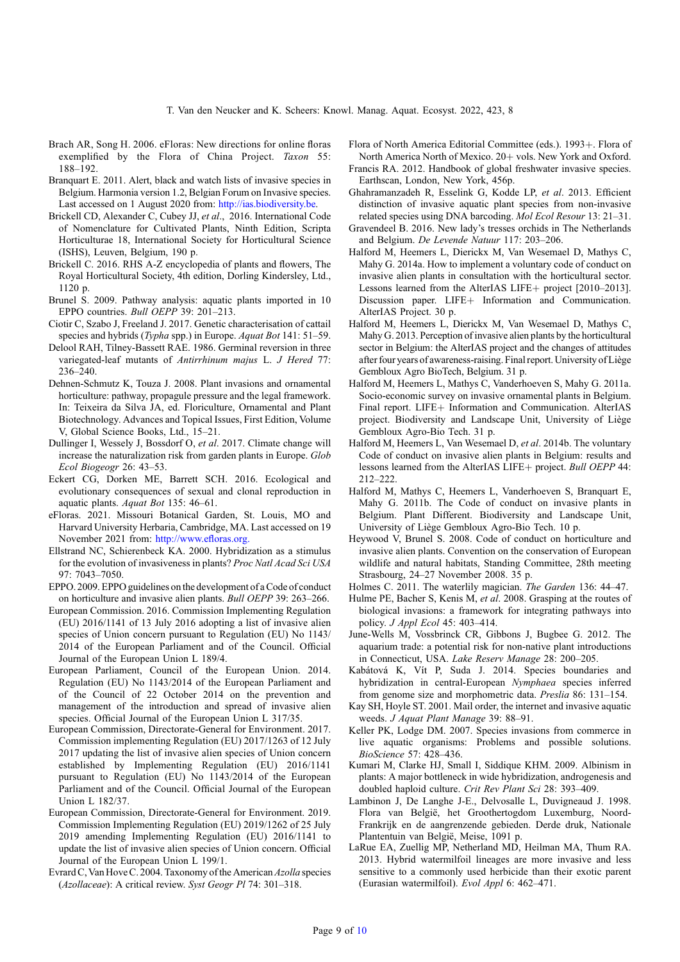- <span id="page-8-0"></span>Brach AR, Song H. 2006. eFloras: New directions for online floras exemplified by the Flora of China Project. Taxon 55: 188–192.
- Branquart E. 2011. Alert, black and watch lists of invasive species in Belgium. Harmonia version 1.2, Belgian Forum on Invasive species. Last accessed on 1 August 2020 from: <http://ias.biodiversity.be>.
- Brickell CD, Alexander C, Cubey JJ, et al., 2016. International Code of Nomenclature for Cultivated Plants, Ninth Edition, Scripta Horticulturae 18, International Society for Horticultural Science (ISHS), Leuven, Belgium, 190 p.
- Brickell C. 2016. RHS A-Z encyclopedia of plants and flowers, The Royal Horticultural Society, 4th edition, Dorling Kindersley, Ltd., 1120 p.
- Brunel S. 2009. Pathway analysis: aquatic plants imported in 10 EPPO countries. Bull OEPP 39: 201–213.
- Ciotir C, Szabo J, Freeland J. 2017. Genetic characterisation of cattail species and hybrids (Typha spp.) in Europe. Aquat Bot 141: 51–59.
- Delool RAH, Tilney-Bassett RAE. 1986. Germinal reversion in three variegated-leaf mutants of Antirrhinum majus L. J Hered 77: 236–240.
- Dehnen-Schmutz K, Touza J. 2008. Plant invasions and ornamental horticulture: pathway, propagule pressure and the legal framework. In: Teixeira da Silva JA, ed. Floriculture, Ornamental and Plant Biotechnology. Advances and Topical Issues, First Edition, Volume V, Global Science Books, Ltd., 15–21.
- Dullinger I, Wessely J, Bossdorf O, et al. 2017. Climate change will increase the naturalization risk from garden plants in Europe. Glob Ecol Biogeogr 26: 43–53.
- Eckert CG, Dorken ME, Barrett SCH. 2016. Ecological and evolutionary consequences of sexual and clonal reproduction in aquatic plants. Aquat Bot 135: 46–61.
- eFloras. 2021. Missouri Botanical Garden, St. Louis, MO and Harvard University Herbaria, Cambridge, MA. Last accessed on 19 November 2021 from: [http://www.e](http://www.efloras.org.)floras.org.
- Ellstrand NC, Schierenbeck KA. 2000. Hybridization as a stimulus for the evolution of invasiveness in plants? Proc Natl Acad Sci USA 97: 7043–7050.
- EPPO. 2009. EPPO guidelines onthe development of a Code of conduct on horticulture and invasive alien plants. Bull OEPP 39: 263–266.
- European Commission. 2016. Commission Implementing Regulation (EU) 2016/1141 of 13 July 2016 adopting a list of invasive alien species of Union concern pursuant to Regulation (EU) No 1143/ 2014 of the European Parliament and of the Council. Official Journal of the European Union L 189/4.
- European Parliament, Council of the European Union. 2014. Regulation (EU) No 1143/2014 of the European Parliament and of the Council of 22 October 2014 on the prevention and management of the introduction and spread of invasive alien species. Official Journal of the European Union L 317/35.
- European Commission, Directorate-General for Environment. 2017. Commission implementing Regulation (EU) 2017/1263 of 12 July 2017 updating the list of invasive alien species of Union concern established by Implementing Regulation (EU) 2016/1141 pursuant to Regulation (EU) No 1143/2014 of the European Parliament and of the Council. Official Journal of the European Union L 182/37.
- European Commission, Directorate-General for Environment. 2019. Commission Implementing Regulation (EU) 2019/1262 of 25 July 2019 amending Implementing Regulation (EU) 2016/1141 to update the list of invasive alien species of Union concern. Official Journal of the European Union L 199/1.
- Evrard C, Van Hove C. 2004. Taxonomy of the American Azolla species (Azollaceae): A critical review. Syst Geogr Pl 74: 301–318.
- Flora of North America Editorial Committee (eds.). 1993+. Flora of North America North of Mexico. 20+ vols. New York and Oxford.
- Francis RA. 2012. Handbook of global freshwater invasive species. Earthscan, London, New York, 456p.
- Ghahramanzadeh R, Esselink G, Kodde LP, et al. 2013. Efficient distinction of invasive aquatic plant species from non-invasive related species using DNA barcoding. Mol Ecol Resour 13: 21–31.
- Gravendeel B. 2016. New lady's tresses orchids in The Netherlands and Belgium. De Levende Natuur 117: 203–206.
- Halford M, Heemers L, Dierickx M, Van Wesemael D, Mathys C, Mahy G. 2014a. How to implement a voluntary code of conduct on invasive alien plants in consultation with the horticultural sector. Lessons learned from the AlterIAS LIFE+ project [2010–2013]. Discussion paper. LIFE+ Information and Communication. AlterIAS Project. 30 p.
- Halford M, Heemers L, Dierickx M, Van Wesemael D, Mathys C, Mahy G. 2013. Perception of invasive alien plants by the horticultural sector in Belgium: the AlterIAS project and the changes of attitudes after four years of awareness-raising. Final report. University of Liège Gembloux Agro BioTech, Belgium. 31 p.
- Halford M, Heemers L, Mathys C, Vanderhoeven S, Mahy G. 2011a. Socio-economic survey on invasive ornamental plants in Belgium. Final report. LIFE+ Information and Communication. AlterIAS project. Biodiversity and Landscape Unit, University of Liège Gembloux Agro-Bio Tech. 31 p.
- Halford M, Heemers L, Van Wesemael D, et al. 2014b. The voluntary Code of conduct on invasive alien plants in Belgium: results and lessons learned from the AlterIAS LIFE+ project. Bull OEPP 44: 212–222.
- Halford M, Mathys C, Heemers L, Vanderhoeven S, Branquart E, Mahy G. 2011b. The Code of conduct on invasive plants in Belgium. Plant Different. Biodiversity and Landscape Unit, University of Liège Gembloux Agro-Bio Tech. 10 p.
- Heywood V, Brunel S. 2008. Code of conduct on horticulture and invasive alien plants. Convention on the conservation of European wildlife and natural habitats, Standing Committee, 28th meeting Strasbourg, 24–27 November 2008. 35 p.
- Holmes C. 2011. The waterlily magician. The Garden 136: 44–47.
- Hulme PE, Bacher S, Kenis M, et al. 2008. Grasping at the routes of biological invasions: a framework for integrating pathways into policy. J Appl Ecol 45: 403–414.
- June-Wells M, Vossbrinck CR, Gibbons J, Bugbee G. 2012. The aquarium trade: a potential risk for non-native plant introductions in Connecticut, USA. Lake Reserv Manage 28: 200–205.
- Kabátová K, Vít P, Suda J. 2014. Species boundaries and hybridization in central-European Nymphaea species inferred from genome size and morphometric data. Preslia 86: 131–154.
- Kay SH, Hoyle ST. 2001. Mail order, the internet and invasive aquatic weeds. J Aquat Plant Manage 39: 88–91.
- Keller PK, Lodge DM. 2007. Species invasions from commerce in live aquatic organisms: Problems and possible solutions. BioScience 57: 428–436.
- Kumari M, Clarke HJ, Small I, Siddique KHM. 2009. Albinism in plants: A major bottleneck in wide hybridization, androgenesis and doubled haploid culture. Crit Rev Plant Sci 28: 393–409.
- Lambinon J, De Langhe J-E., Delvosalle L, Duvigneaud J. 1998. Flora van België, het Groothertogdom Luxemburg, Noord-Frankrijk en de aangrenzende gebieden. Derde druk, Nationale Plantentuin van België, Meise, 1091 p.
- LaRue EA, Zuellig MP, Netherland MD, Heilman MA, Thum RA. 2013. Hybrid watermilfoil lineages are more invasive and less sensitive to a commonly used herbicide than their exotic parent (Eurasian watermilfoil). Evol Appl 6: 462–471.